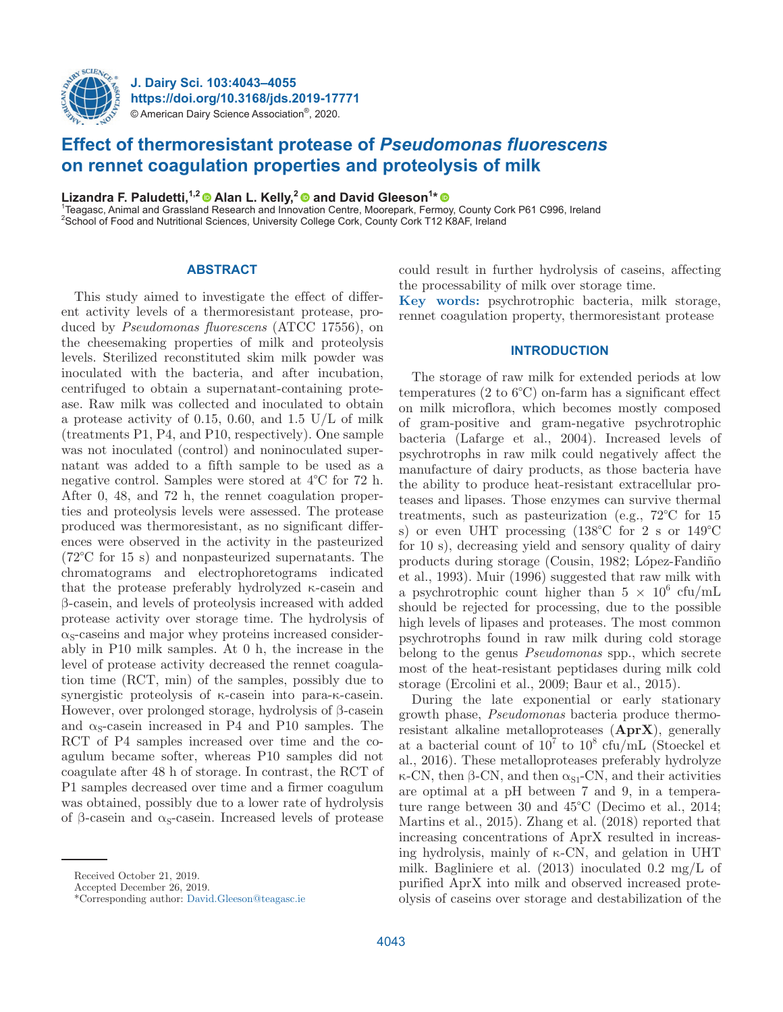

**J. Dairy Sci. 103:4043–4055 https://doi.org/10.3168/jds.2019-17771** © American Dairy Science Association®, 2020.

# **Effect of thermoresistant protease of** *Pseudomonas fluorescens* **on rennet coagulation properties and proteolysis of milk**

**Lizandra F. Paludetti,<sup>1,2</sup> © Alan L. Kelly,<sup>2</sup> © and David Gleeson<sup>1</sup>\*<br><sup>1</sup> Icagase, Animal and Greesland Besearch and Inpovation Centre Meerspark, Form** 

Teagasc, Animal and Grassland Research and Innovation Centre, Moorepark, Fermoy, County Cork P61 C996, Ireland <sup>2</sup>School of Food and Nutritional Sciences, University College Cork, County Cork T12 K8AF, Ireland

# **ABSTRACT**

This study aimed to investigate the effect of different activity levels of a thermoresistant protease, produced by *Pseudomonas fluorescens* (ATCC 17556), on the cheesemaking properties of milk and proteolysis levels. Sterilized reconstituted skim milk powder was inoculated with the bacteria, and after incubation, centrifuged to obtain a supernatant-containing protease. Raw milk was collected and inoculated to obtain a protease activity of 0.15, 0.60, and 1.5 U/L of milk (treatments P1, P4, and P10, respectively). One sample was not inoculated (control) and noninoculated supernatant was added to a fifth sample to be used as a negative control. Samples were stored at 4°C for 72 h. After 0, 48, and 72 h, the rennet coagulation properties and proteolysis levels were assessed. The protease produced was thermoresistant, as no significant differences were observed in the activity in the pasteurized (72°C for 15 s) and nonpasteurized supernatants. The chromatograms and electrophoretograms indicated that the protease preferably hydrolyzed κ-casein and β-casein, and levels of proteolysis increased with added protease activity over storage time. The hydrolysis of  $\alpha$ <sub>S</sub>-caseins and major whey proteins increased considerably in P10 milk samples. At 0 h, the increase in the level of protease activity decreased the rennet coagulation time (RCT, min) of the samples, possibly due to synergistic proteolysis of κ-casein into para-κ-casein. However, over prolonged storage, hydrolysis of β-casein and  $\alpha_s$ -casein increased in P4 and P10 samples. The RCT of P4 samples increased over time and the coagulum became softer, whereas P10 samples did not coagulate after 48 h of storage. In contrast, the RCT of P1 samples decreased over time and a firmer coagulum was obtained, possibly due to a lower rate of hydrolysis of β-casein and  $α<sub>S</sub>$ -casein. Increased levels of protease could result in further hydrolysis of caseins, affecting the processability of milk over storage time.

**Key words:** psychrotrophic bacteria, milk storage, rennet coagulation property, thermoresistant protease

# **INTRODUCTION**

The storage of raw milk for extended periods at low temperatures (2 to 6°C) on-farm has a significant effect on milk microflora, which becomes mostly composed of gram-positive and gram-negative psychrotrophic bacteria (Lafarge et al., 2004). Increased levels of psychrotrophs in raw milk could negatively affect the manufacture of dairy products, as those bacteria have the ability to produce heat-resistant extracellular proteases and lipases. Those enzymes can survive thermal treatments, such as pasteurization (e.g., 72°C for 15 s) or even UHT processing (138°C for 2 s or 149°C for 10 s), decreasing yield and sensory quality of dairy products during storage (Cousin, 1982; López-Fandiño et al., 1993). Muir (1996) suggested that raw milk with a psychrotrophic count higher than  $5 \times 10^6$  cfu/mL should be rejected for processing, due to the possible high levels of lipases and proteases. The most common psychrotrophs found in raw milk during cold storage belong to the genus *Pseudomonas* spp., which secrete most of the heat-resistant peptidases during milk cold storage (Ercolini et al., 2009; Baur et al., 2015).

During the late exponential or early stationary growth phase, *Pseudomonas* bacteria produce thermoresistant alkaline metalloproteases (**AprX**), generally at a bacterial count of  $10^7$  to  $10^8$  cfu/mL (Stoeckel et al., 2016). These metalloproteases preferably hydrolyze  $\kappa$ -CN, then β-CN, and then  $\alpha_{S1}$ -CN, and their activities are optimal at a pH between 7 and 9, in a temperature range between 30 and 45°C (Decimo et al., 2014; Martins et al., 2015). Zhang et al. (2018) reported that increasing concentrations of AprX resulted in increasing hydrolysis, mainly of κ-CN, and gelation in UHT milk. Bagliniere et al. (2013) inoculated 0.2 mg/L of purified AprX into milk and observed increased proteolysis of caseins over storage and destabilization of the

Received October 21, 2019.

Accepted December 26, 2019.

<sup>\*</sup>Corresponding author: [David.Gleeson@teagasc.ie](mailto:David.Gleeson@teagasc.ie)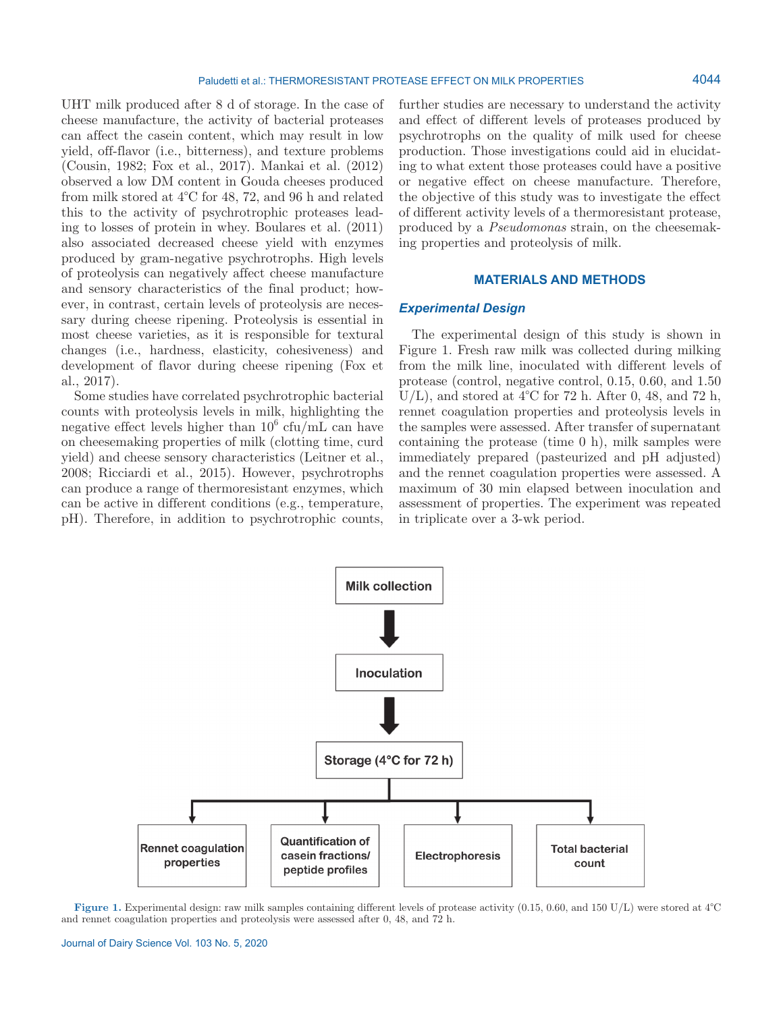UHT milk produced after 8 d of storage. In the case of cheese manufacture, the activity of bacterial proteases can affect the casein content, which may result in low yield, off-flavor (i.e., bitterness), and texture problems (Cousin, 1982; Fox et al., 2017). Mankai et al. (2012) observed a low DM content in Gouda cheeses produced from milk stored at 4°C for 48, 72, and 96 h and related this to the activity of psychrotrophic proteases leading to losses of protein in whey. Boulares et al. (2011) also associated decreased cheese yield with enzymes produced by gram-negative psychrotrophs. High levels of proteolysis can negatively affect cheese manufacture and sensory characteristics of the final product; however, in contrast, certain levels of proteolysis are necessary during cheese ripening. Proteolysis is essential in most cheese varieties, as it is responsible for textural changes (i.e., hardness, elasticity, cohesiveness) and development of flavor during cheese ripening (Fox et al., 2017).

Some studies have correlated psychrotrophic bacterial counts with proteolysis levels in milk, highlighting the negative effect levels higher than  $10^6$  cfu/mL can have on cheesemaking properties of milk (clotting time, curd yield) and cheese sensory characteristics (Leitner et al., 2008; Ricciardi et al., 2015). However, psychrotrophs can produce a range of thermoresistant enzymes, which can be active in different conditions (e.g., temperature, pH). Therefore, in addition to psychrotrophic counts,

further studies are necessary to understand the activity and effect of different levels of proteases produced by psychrotrophs on the quality of milk used for cheese production. Those investigations could aid in elucidating to what extent those proteases could have a positive or negative effect on cheese manufacture. Therefore, the objective of this study was to investigate the effect of different activity levels of a thermoresistant protease, produced by a *Pseudomonas* strain, on the cheesemaking properties and proteolysis of milk.

# **MATERIALS AND METHODS**

# *Experimental Design*

The experimental design of this study is shown in Figure 1. Fresh raw milk was collected during milking from the milk line, inoculated with different levels of protease (control, negative control, 0.15, 0.60, and 1.50 U/L), and stored at  $4^{\circ}$ C for 72 h. After 0, 48, and 72 h, rennet coagulation properties and proteolysis levels in the samples were assessed. After transfer of supernatant containing the protease (time 0 h), milk samples were immediately prepared (pasteurized and pH adjusted) and the rennet coagulation properties were assessed. A maximum of 30 min elapsed between inoculation and assessment of properties. The experiment was repeated in triplicate over a 3-wk period.



**Figure 1.** Experimental design: raw milk samples containing different levels of protease activity (0.15, 0.60, and 150 U/L) were stored at 4°C and rennet coagulation properties and proteolysis were assessed after 0, 48, and 72 h.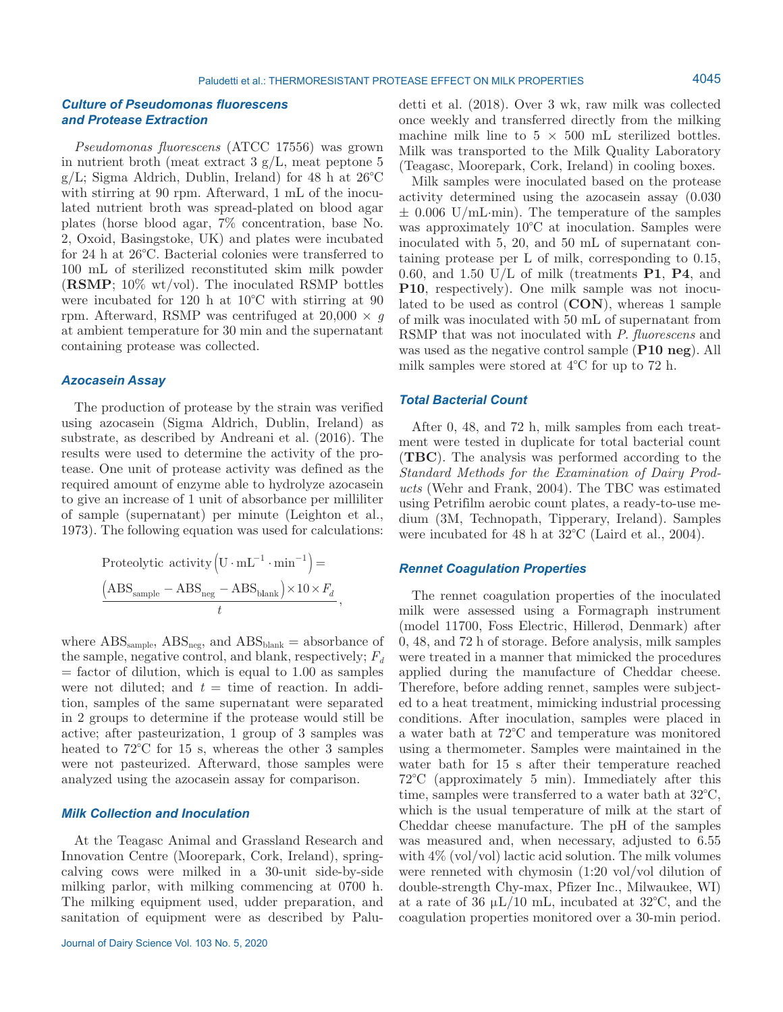# *Culture of Pseudomonas fluorescens and Protease Extraction*

*Pseudomonas fluorescens* (ATCC 17556) was grown in nutrient broth (meat extract  $3 \text{ g/L}$ , meat peptone 5  $g/L$ ; Sigma Aldrich, Dublin, Ireland) for 48 h at  $26^{\circ}$ C with stirring at 90 rpm. Afterward, 1 mL of the inoculated nutrient broth was spread-plated on blood agar plates (horse blood agar, 7% concentration, base No. 2, Oxoid, Basingstoke, UK) and plates were incubated for 24 h at 26°C. Bacterial colonies were transferred to 100 mL of sterilized reconstituted skim milk powder (**RSMP**; 10% wt/vol). The inoculated RSMP bottles were incubated for 120 h at 10°C with stirring at 90 rpm. Afterward, RSMP was centrifuged at  $20,000 \times g$ at ambient temperature for 30 min and the supernatant containing protease was collected.

### *Azocasein Assay*

The production of protease by the strain was verified using azocasein (Sigma Aldrich, Dublin, Ireland) as substrate, as described by Andreani et al. (2016). The results were used to determine the activity of the protease. One unit of protease activity was defined as the required amount of enzyme able to hydrolyze azocasein to give an increase of 1 unit of absorbance per milliliter of sample (supernatant) per minute (Leighton et al., 1973). The following equation was used for calculations:

$$
\text{Proteolytic activity} \left( \text{U} \cdot \text{mL}^{-1} \cdot \text{min}^{-1} \right) =
$$
\n
$$
\frac{\left( \text{ABS}_{\text{sample}} - \text{ABS}_{\text{neg}} - \text{ABS}_{\text{blank}} \right) \times 10 \times F_d}{t},
$$

where  $\rm ABS_{sample}$ ,  $\rm ABS_{neg}$ , and  $\rm ABS_{blank}$  = absorbance of the sample, negative control, and blank, respectively;  $F_d$  $=$  factor of dilution, which is equal to 1.00 as samples were not diluted; and  $t = \text{time of reaction}$ . In addition, samples of the same supernatant were separated in 2 groups to determine if the protease would still be active; after pasteurization, 1 group of 3 samples was heated to 72°C for 15 s, whereas the other 3 samples were not pasteurized. Afterward, those samples were analyzed using the azocasein assay for comparison.

# *Milk Collection and Inoculation*

At the Teagasc Animal and Grassland Research and Innovation Centre (Moorepark, Cork, Ireland), springcalving cows were milked in a 30-unit side-by-side milking parlor, with milking commencing at 0700 h. The milking equipment used, udder preparation, and sanitation of equipment were as described by Palu-

detti et al. (2018). Over 3 wk, raw milk was collected once weekly and transferred directly from the milking machine milk line to  $5 \times 500$  mL sterilized bottles. Milk was transported to the Milk Quality Laboratory (Teagasc, Moorepark, Cork, Ireland) in cooling boxes.

Milk samples were inoculated based on the protease activity determined using the azocasein assay (0.030 ± 0.006 U/mL∙min). The temperature of the samples was approximately 10°C at inoculation. Samples were inoculated with 5, 20, and 50 mL of supernatant containing protease per L of milk, corresponding to 0.15, 0.60, and 1.50 U/L of milk (treatments **P1**, **P4**, and **P10**, respectively). One milk sample was not inoculated to be used as control (**CON**), whereas 1 sample of milk was inoculated with 50 mL of supernatant from RSMP that was not inoculated with *P. fluorescens* and was used as the negative control sample (**P10 neg**). All milk samples were stored at 4°C for up to 72 h.

# *Total Bacterial Count*

After 0, 48, and 72 h, milk samples from each treatment were tested in duplicate for total bacterial count (**TBC**). The analysis was performed according to the *Standard Methods for the Examination of Dairy Products* (Wehr and Frank, 2004). The TBC was estimated using Petrifilm aerobic count plates, a ready-to-use medium (3M, Technopath, Tipperary, Ireland). Samples were incubated for 48 h at 32°C (Laird et al., 2004).

# *Rennet Coagulation Properties*

The rennet coagulation properties of the inoculated milk were assessed using a Formagraph instrument (model 11700, Foss Electric, Hillerød, Denmark) after 0, 48, and 72 h of storage. Before analysis, milk samples were treated in a manner that mimicked the procedures applied during the manufacture of Cheddar cheese. Therefore, before adding rennet, samples were subjected to a heat treatment, mimicking industrial processing conditions. After inoculation, samples were placed in a water bath at 72°C and temperature was monitored using a thermometer. Samples were maintained in the water bath for 15 s after their temperature reached 72°C (approximately 5 min). Immediately after this time, samples were transferred to a water bath at 32°C, which is the usual temperature of milk at the start of Cheddar cheese manufacture. The pH of the samples was measured and, when necessary, adjusted to 6.55 with  $4\%$  (vol/vol) lactic acid solution. The milk volumes were renneted with chymosin (1:20 vol/vol dilution of double-strength Chy-max, Pfizer Inc., Milwaukee, WI) at a rate of 36  $\mu$ L/10 mL, incubated at 32<sup>o</sup>C, and the coagulation properties monitored over a 30-min period.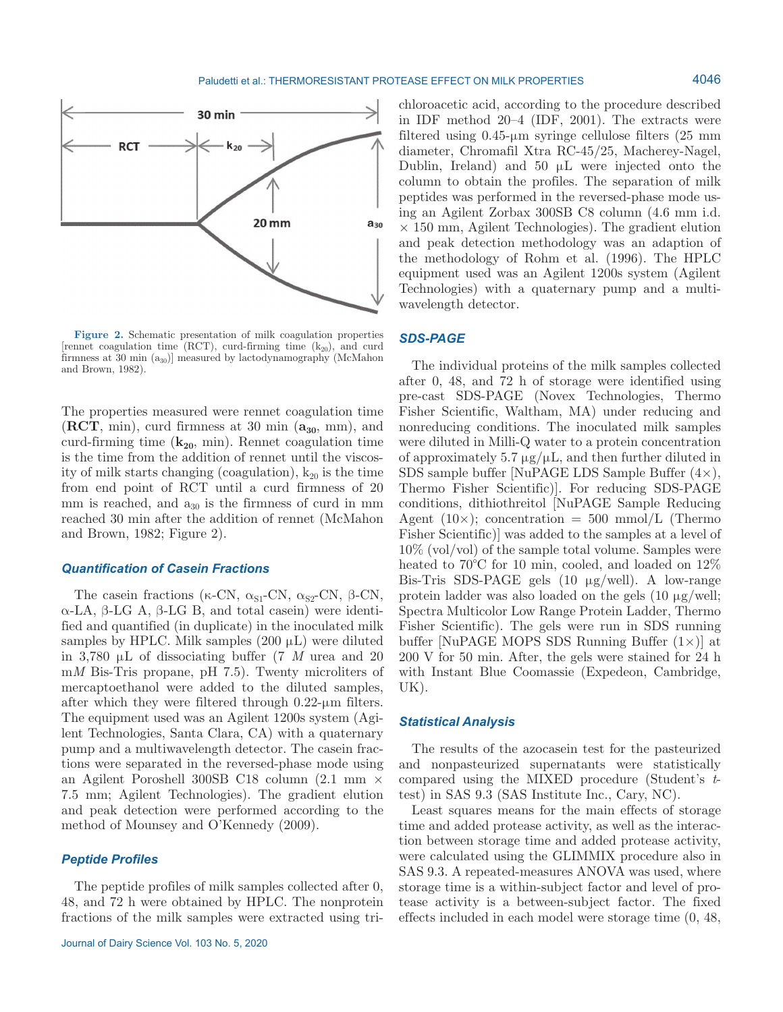

**Figure 2.** Schematic presentation of milk coagulation properties [rennet coagulation time (RCT), curd-firming time  $(k_{20})$ , and curd firmness at  $30 \text{ min } (a_{30})$ ] measured by lactodynamography (McMahon and Brown, 1982).

The properties measured were rennet coagulation time  $(ACT, min)$ , curd firmness at 30 min  $(a_{30}, mm)$ , and curd-firming time  $(k_{20}, \text{min})$ . Rennet coagulation time is the time from the addition of rennet until the viscosity of milk starts changing (coagulation),  $k_{20}$  is the time from end point of RCT until a curd firmness of 20 mm is reached, and  $a_{30}$  is the firmness of curd in mm reached 30 min after the addition of rennet (McMahon and Brown, 1982; Figure 2).

### *Quantification of Casein Fractions*

The casein fractions (κ-CN,  $\alpha_{S1}$ -CN,  $\alpha_{S2}$ -CN, β-CN, α-LA, β-LG A, β-LG B, and total casein) were identified and quantified (in duplicate) in the inoculated milk samples by HPLC. Milk samples  $(200 \mu L)$  were diluted in 3,780 µL of dissociating buffer (7 *M* urea and 20 m*M* Bis-Tris propane, pH 7.5). Twenty microliters of mercaptoethanol were added to the diluted samples, after which they were filtered through 0.22-µm filters. The equipment used was an Agilent 1200s system (Agilent Technologies, Santa Clara, CA) with a quaternary pump and a multiwavelength detector. The casein fractions were separated in the reversed-phase mode using an Agilent Poroshell 300SB C18 column (2.1 mm × 7.5 mm; Agilent Technologies). The gradient elution and peak detection were performed according to the method of Mounsey and O'Kennedy (2009).

### *Peptide Profiles*

The peptide profiles of milk samples collected after 0, 48, and 72 h were obtained by HPLC. The nonprotein fractions of the milk samples were extracted using trichloroacetic acid, according to the procedure described in IDF method 20–4 (IDF, 2001). The extracts were filtered using 0.45-µm syringe cellulose filters (25 mm diameter, Chromafil Xtra RC-45/25, Macherey-Nagel, Dublin, Ireland) and  $50 \mu L$  were injected onto the column to obtain the profiles. The separation of milk peptides was performed in the reversed-phase mode using an Agilent Zorbax 300SB C8 column (4.6 mm i.d.  $\times$  150 mm, Agilent Technologies). The gradient elution and peak detection methodology was an adaption of the methodology of Rohm et al. (1996). The HPLC equipment used was an Agilent 1200s system (Agilent Technologies) with a quaternary pump and a multiwavelength detector.

# *SDS-PAGE*

The individual proteins of the milk samples collected after 0, 48, and 72 h of storage were identified using pre-cast SDS-PAGE (Novex Technologies, Thermo Fisher Scientific, Waltham, MA) under reducing and nonreducing conditions. The inoculated milk samples were diluted in Milli-Q water to a protein concentration of approximately 5.7  $\mu$ g/ $\mu$ L, and then further diluted in SDS sample buffer [NuPAGE LDS Sample Buffer  $(4\times)$ , Thermo Fisher Scientific)]. For reducing SDS-PAGE conditions, dithiothreitol [NuPAGE Sample Reducing Agent  $(10\times)$ ; concentration = 500 mmol/L (Thermo Fisher Scientific)] was added to the samples at a level of 10% (vol/vol) of the sample total volume. Samples were heated to 70<sup>o</sup>C for 10 min, cooled, and loaded on  $12\%$ Bis-Tris SDS-PAGE gels (10 µg/well). A low-range protein ladder was also loaded on the gels  $(10 \mu g/well)$ ; Spectra Multicolor Low Range Protein Ladder, Thermo Fisher Scientific). The gels were run in SDS running buffer [NuPAGE MOPS SDS Running Buffer  $(1\times)$ ] at 200 V for 50 min. After, the gels were stained for 24 h with Instant Blue Coomassie (Expedeon, Cambridge, UK).

### *Statistical Analysis*

The results of the azocasein test for the pasteurized and nonpasteurized supernatants were statistically compared using the MIXED procedure (Student's *t*test) in SAS 9.3 (SAS Institute Inc., Cary, NC).

Least squares means for the main effects of storage time and added protease activity, as well as the interaction between storage time and added protease activity, were calculated using the GLIMMIX procedure also in SAS 9.3. A repeated-measures ANOVA was used, where storage time is a within-subject factor and level of protease activity is a between-subject factor. The fixed effects included in each model were storage time (0, 48,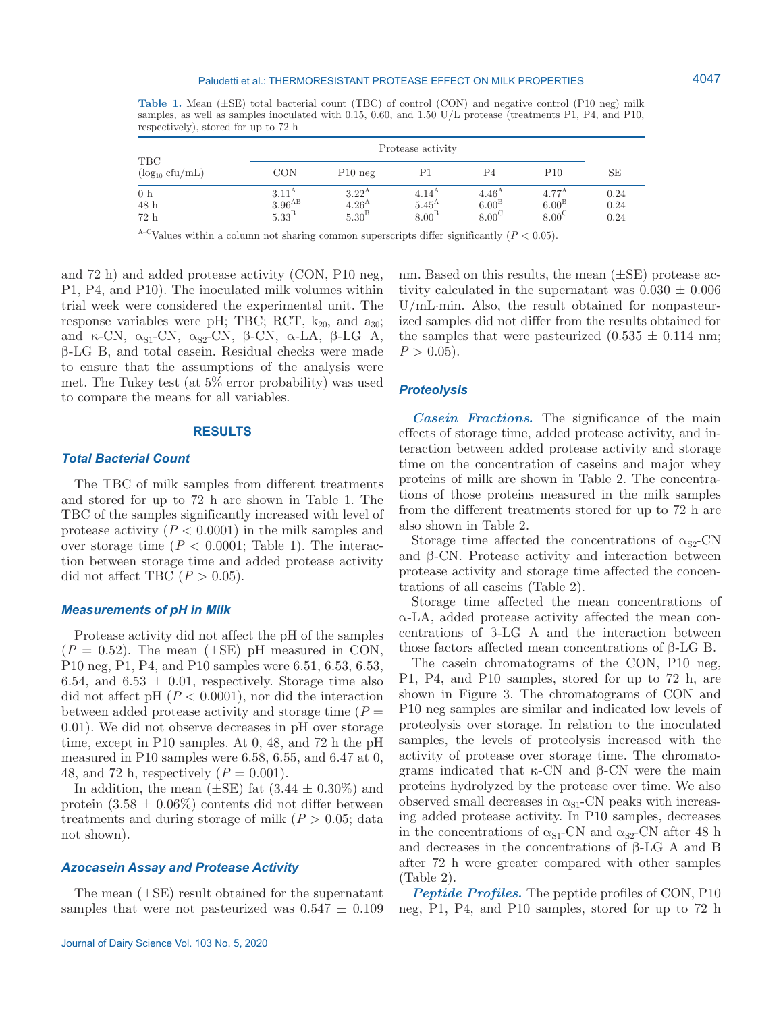#### Paludetti et al.: THERMORESISTANT PROTEASE EFFECT ON MILK PROPERTIES

**Table 1.** Mean (±SE) total bacterial count (TBC) of control (CON) and negative control (P10 neg) milk samples, as well as samples inoculated with 0.15, 0.60, and 1.50 U/L protease (treatments P1, P4, and P10, respectively), stored for up to 72 h

|                               |                                                             |                                                             | Protease activity                                     |                                                          |                                                       |                      |
|-------------------------------|-------------------------------------------------------------|-------------------------------------------------------------|-------------------------------------------------------|----------------------------------------------------------|-------------------------------------------------------|----------------------|
| TBC<br>$(\log_{10} c f u/mL)$ | CON                                                         | $P10$ neg                                                   | P1                                                    | P <sub>4</sub>                                           | P <sub>10</sub>                                       | SE                   |
| 0 <sub>h</sub><br>48 h<br>72h | $3.11^{\rm A}$<br>$3.96^{\mathrm{AB}}$<br>5.33 <sup>B</sup> | 3.22 <sup>A</sup><br>4.26 <sup>A</sup><br>5.30 <sup>B</sup> | $4.14^{\rm A}$<br>$5.45^{\rm A}$<br>8.00 <sup>B</sup> | 4.46 <sup>A</sup><br>6.00 <sup>B</sup><br>$8.00^{\circ}$ | $4.77^{\rm A}$<br>6.00 <sup>B</sup><br>$8.00^{\circ}$ | 0.24<br>0.24<br>0.24 |

<sup>A–C</sup>Values within a column not sharing common superscripts differ significantly ( $P < 0.05$ ).

and 72 h) and added protease activity (CON, P10 neg, P1, P4, and P10). The inoculated milk volumes within trial week were considered the experimental unit. The response variables were pH; TBC; RCT,  $k_{20}$ , and  $a_{30}$ ; and  $\kappa$ -CN,  $\alpha_{S1}$ -CN,  $\alpha_{S2}$ -CN,  $\beta$ -CN,  $\alpha$ -LA,  $\beta$ -LG A, β-LG B, and total casein. Residual checks were made to ensure that the assumptions of the analysis were met. The Tukey test (at 5% error probability) was used to compare the means for all variables.

### **RESULTS**

### *Total Bacterial Count*

The TBC of milk samples from different treatments and stored for up to 72 h are shown in Table 1. The TBC of the samples significantly increased with level of protease activity  $(P < 0.0001)$  in the milk samples and over storage time  $(P < 0.0001$ ; Table 1). The interaction between storage time and added protease activity did not affect TBC  $(P > 0.05)$ .

### *Measurements of pH in Milk*

Protease activity did not affect the pH of the samples  $(P = 0.52)$ . The mean  $(\pm SE)$  pH measured in CON, P10 neg, P1, P4, and P10 samples were 6.51, 6.53, 6.53, 6.54, and 6.53  $\pm$  0.01, respectively. Storage time also did not affect pH  $(P < 0.0001)$ , nor did the interaction between added protease activity and storage time  $(P =$ 0.01). We did not observe decreases in pH over storage time, except in P10 samples. At 0, 48, and 72 h the pH measured in P10 samples were 6.58, 6.55, and 6.47 at 0, 48, and 72 h, respectively  $(P = 0.001)$ .

In addition, the mean  $(\pm \text{SE})$  fat  $(3.44 \pm 0.30\%)$  and protein  $(3.58 \pm 0.06\%)$  contents did not differ between treatments and during storage of milk  $(P > 0.05$ ; data not shown).

# *Azocasein Assay and Protease Activity*

The mean  $(\pm SE)$  result obtained for the supernatant samples that were not pasteurized was  $0.547 \pm 0.109$  nm. Based on this results, the mean  $(\pm SE)$  protease activity calculated in the supernatant was  $0.030 \pm 0.006$ U/mL∙min. Also, the result obtained for nonpasteurized samples did not differ from the results obtained for the samples that were pasteurized  $(0.535 \pm 0.114 \text{ nm})$ ;  $P > 0.05$ .

### *Proteolysis*

*Casein Fractions.* The significance of the main effects of storage time, added protease activity, and interaction between added protease activity and storage time on the concentration of caseins and major whey proteins of milk are shown in Table 2. The concentrations of those proteins measured in the milk samples from the different treatments stored for up to 72 h are also shown in Table 2.

Storage time affected the concentrations of  $\alpha_{S2}$ -CN and β-CN. Protease activity and interaction between protease activity and storage time affected the concentrations of all caseins (Table 2).

Storage time affected the mean concentrations of α-LA, added protease activity affected the mean concentrations of β-LG A and the interaction between those factors affected mean concentrations of β-LG B.

The casein chromatograms of the CON, P10 neg, P1, P4, and P10 samples, stored for up to 72 h, are shown in Figure 3. The chromatograms of CON and P10 neg samples are similar and indicated low levels of proteolysis over storage. In relation to the inoculated samples, the levels of proteolysis increased with the activity of protease over storage time. The chromatograms indicated that κ-CN and β-CN were the main proteins hydrolyzed by the protease over time. We also observed small decreases in  $\alpha_{S1}$ -CN peaks with increasing added protease activity. In P10 samples, decreases in the concentrations of  $\alpha_{S1}$ -CN and  $\alpha_{S2}$ -CN after 48 h and decreases in the concentrations of  $\beta$ -LG A and B after 72 h were greater compared with other samples (Table 2).

*Peptide Profiles.* The peptide profiles of CON, P10 neg, P1, P4, and P10 samples, stored for up to 72 h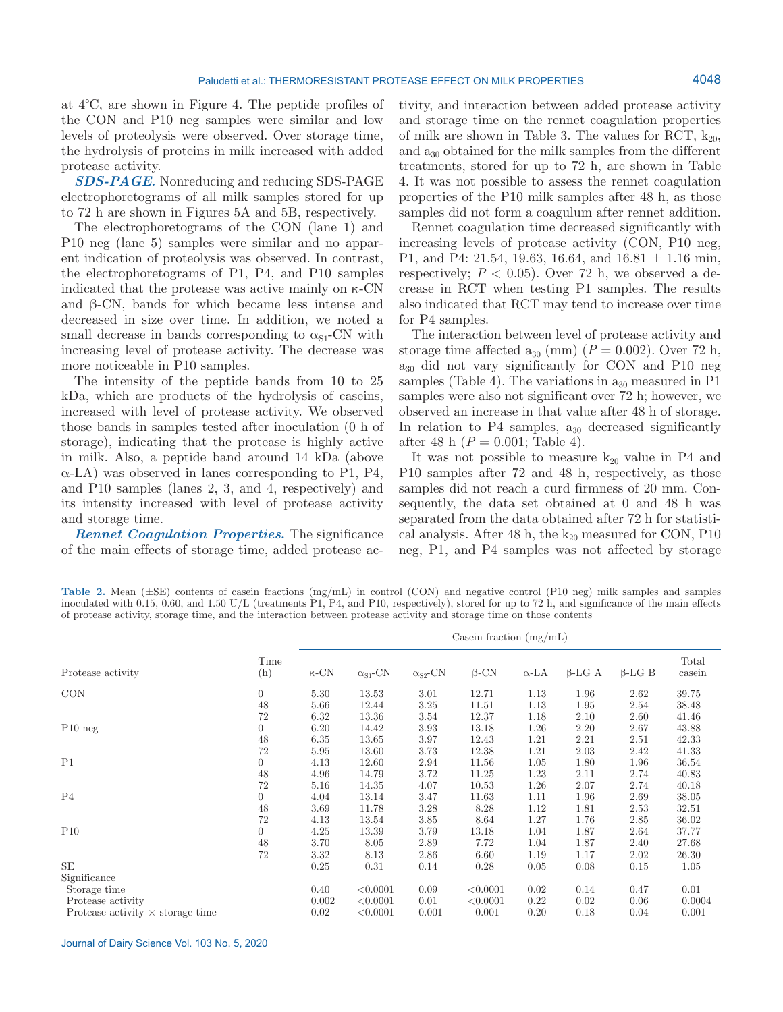at 4°C, are shown in Figure 4. The peptide profiles of the CON and P10 neg samples were similar and low levels of proteolysis were observed. Over storage time, the hydrolysis of proteins in milk increased with added protease activity.

*SDS-PAGE.* Nonreducing and reducing SDS-PAGE electrophoretograms of all milk samples stored for up to 72 h are shown in Figures 5A and 5B, respectively.

The electrophoretograms of the CON (lane 1) and P10 neg (lane 5) samples were similar and no apparent indication of proteolysis was observed. In contrast, the electrophoretograms of P1, P4, and P10 samples indicated that the protease was active mainly on  $\kappa$ -CN and β-CN, bands for which became less intense and decreased in size over time. In addition, we noted a small decrease in bands corresponding to  $\alpha_{\rm SI}$ -CN with increasing level of protease activity. The decrease was more noticeable in P10 samples.

The intensity of the peptide bands from 10 to 25 kDa, which are products of the hydrolysis of caseins, increased with level of protease activity. We observed those bands in samples tested after inoculation (0 h of storage), indicating that the protease is highly active in milk. Also, a peptide band around 14 kDa (above  $\alpha$ -LA) was observed in lanes corresponding to P1, P4, and P10 samples (lanes 2, 3, and 4, respectively) and its intensity increased with level of protease activity and storage time.

*Rennet Coagulation Properties.* The significance of the main effects of storage time, added protease ac-

tivity, and interaction between added protease activity and storage time on the rennet coagulation properties of milk are shown in Table 3. The values for RCT,  $k_{20}$ , and  $a_{30}$  obtained for the milk samples from the different treatments, stored for up to 72 h, are shown in Table 4. It was not possible to assess the rennet coagulation properties of the P10 milk samples after 48 h, as those samples did not form a coagulum after rennet addition.

Rennet coagulation time decreased significantly with increasing levels of protease activity (CON, P10 neg, P1, and P4: 21.54, 19.63, 16.64, and  $16.81 \pm 1.16$  min, respectively;  $P < 0.05$ ). Over 72 h, we observed a decrease in RCT when testing P1 samples. The results also indicated that RCT may tend to increase over time for P4 samples.

The interaction between level of protease activity and storage time affected  $a_{30}$  (mm) ( $P = 0.002$ ). Over 72 h,  $a_{30}$  did not vary significantly for CON and P10 neg samples (Table 4). The variations in  $a_{30}$  measured in P1 samples were also not significant over 72 h; however, we observed an increase in that value after 48 h of storage. In relation to  $P4$  samples,  $a_{30}$  decreased significantly after 48 h (*P* = 0.001; Table 4).

It was not possible to measure  $k_{20}$  value in P4 and P10 samples after 72 and 48 h, respectively, as those samples did not reach a curd firmness of 20 mm. Consequently, the data set obtained at 0 and 48 h was separated from the data obtained after 72 h for statistical analysis. After 48 h, the  $k_{20}$  measured for CON, P10 neg, P1, and P4 samples was not affected by storage

Table 2. Mean ( $\pm$ SE) contents of casein fractions (mg/mL) in control (CON) and negative control (P10 neg) milk samples and samples inoculated with 0.15, 0.60, and 1.50 U/L (treatments P1, P4, and P10, respectively), stored for up to 72 h, and significance of the main effects of protease activity, storage time, and the interaction between protease activity and storage time on those contents

|                                         |                |              |                             |                             | Casein fraction $(mg/mL)$ |              |               |               |                 |
|-----------------------------------------|----------------|--------------|-----------------------------|-----------------------------|---------------------------|--------------|---------------|---------------|-----------------|
| Protease activity                       | Time<br>(h)    | $\kappa$ -CN | $\alpha_{\rm S1}\text{-CN}$ | $\alpha_{\rm S2}\text{-CN}$ | $\beta$ -CN               | $\alpha$ -LA | $\beta$ -LG A | $\beta$ -LG B | Total<br>casein |
| CON                                     | $\overline{0}$ | 5.30         | 13.53                       | 3.01                        | 12.71                     | 1.13         | 1.96          | 2.62          | 39.75           |
|                                         | 48             | 5.66         | 12.44                       | 3.25                        | 11.51                     | 1.13         | 1.95          | 2.54          | 38.48           |
|                                         | 72             | 6.32         | 13.36                       | 3.54                        | 12.37                     | 1.18         | 2.10          | 2.60          | 41.46           |
| $P10$ neg                               | $\overline{0}$ | 6.20         | 14.42                       | 3.93                        | 13.18                     | 1.26         | 2.20          | 2.67          | 43.88           |
|                                         | 48             | 6.35         | 13.65                       | 3.97                        | 12.43                     | 1.21         | 2.21          | 2.51          | 42.33           |
|                                         | 72             | 5.95         | 13.60                       | 3.73                        | 12.38                     | 1.21         | 2.03          | 2.42          | 41.33           |
| P1                                      | $\overline{0}$ | 4.13         | 12.60                       | 2.94                        | 11.56                     | 1.05         | 1.80          | 1.96          | 36.54           |
|                                         | 48             | 4.96         | 14.79                       | 3.72                        | 11.25                     | 1.23         | 2.11          | 2.74          | 40.83           |
|                                         | 72             | 5.16         | 14.35                       | 4.07                        | 10.53                     | 1.26         | 2.07          | 2.74          | 40.18           |
| P <sub>4</sub>                          | $\overline{0}$ | 4.04         | 13.14                       | 3.47                        | 11.63                     | 1.11         | 1.96          | 2.69          | 38.05           |
|                                         | 48             | 3.69         | 11.78                       | 3.28                        | 8.28                      | 1.12         | 1.81          | 2.53          | 32.51           |
|                                         | 72             | 4.13         | 13.54                       | 3.85                        | 8.64                      | 1.27         | 1.76          | 2.85          | 36.02           |
| P10                                     | $\overline{0}$ | 4.25         | 13.39                       | 3.79                        | 13.18                     | 1.04         | 1.87          | 2.64          | 37.77           |
|                                         | 48             | 3.70         | 8.05                        | 2.89                        | 7.72                      | 1.04         | 1.87          | 2.40          | 27.68           |
|                                         | 72             | 3.32         | 8.13                        | 2.86                        | 6.60                      | 1.19         | 1.17          | 2.02          | 26.30           |
| $\rm SE$                                |                | 0.25         | 0.31                        | 0.14                        | 0.28                      | 0.05         | 0.08          | 0.15          | 1.05            |
| Significance                            |                |              |                             |                             |                           |              |               |               |                 |
| Storage time                            |                | 0.40         | < 0.0001                    | 0.09                        | < 0.0001                  | 0.02         | 0.14          | 0.47          | 0.01            |
| Protease activity                       |                | 0.002        | < 0.0001                    | 0.01                        | < 0.0001                  | 0.22         | 0.02          | 0.06          | 0.0004          |
| Protease activity $\times$ storage time |                | 0.02         | < 0.0001                    | 0.001                       | 0.001                     | 0.20         | 0.18          | 0.04          | 0.001           |

Journal of Dairy Science Vol. 103 No. 5, 2020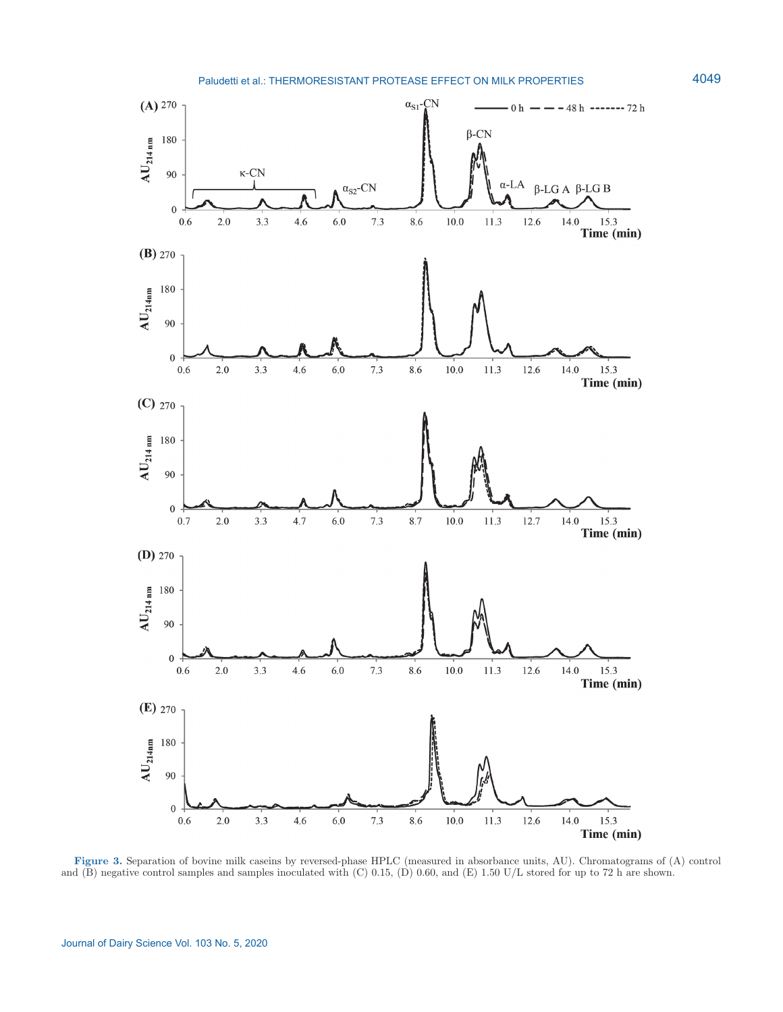

**Figure 3.** Separation of bovine milk caseins by reversed-phase HPLC (measured in absorbance units, AU). Chromatograms of (A) control and  $(B)$  negative control samples and samples inoculated with  $(C)$  0.15,  $(D)$  0.60, and  $(E)$  1.50 U/L stored for up to 72 h are shown.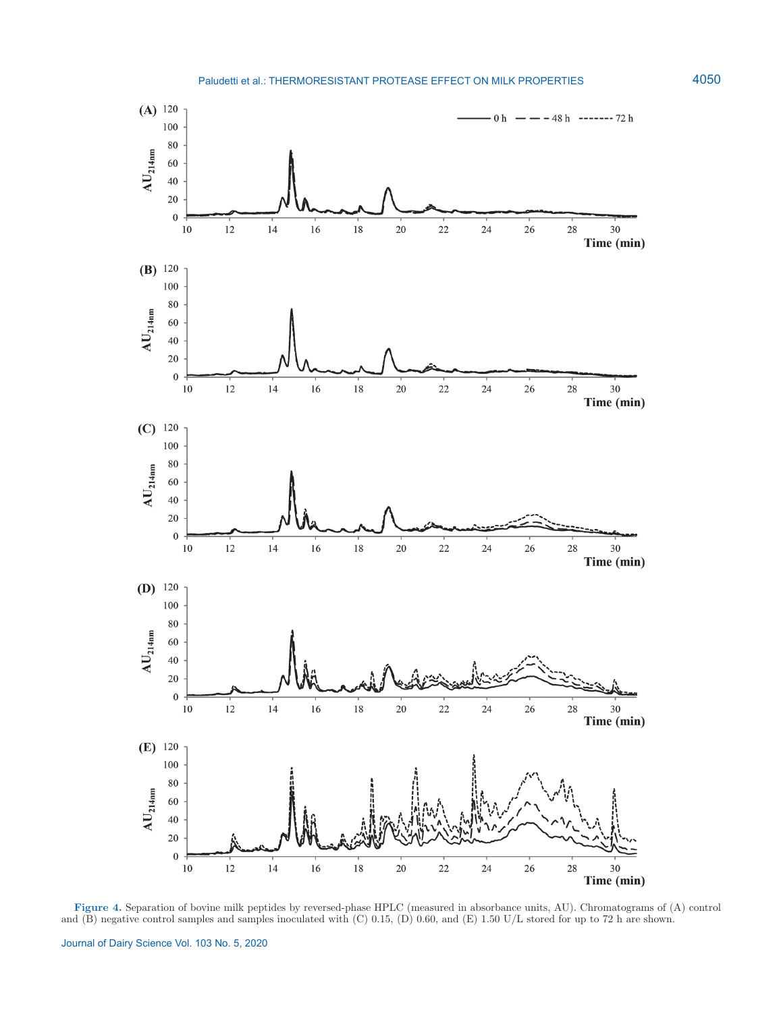

**Figure 4.** Separation of bovine milk peptides by reversed-phase HPLC (measured in absorbance units, AU). Chromatograms of (A) control and (B) negative control samples and samples inoculated with (C) 0.15, (D) 0.60, and (E) 1.50 U/L stored for up to 72 h are shown.

Journal of Dairy Science Vol. 103 No. 5, 2020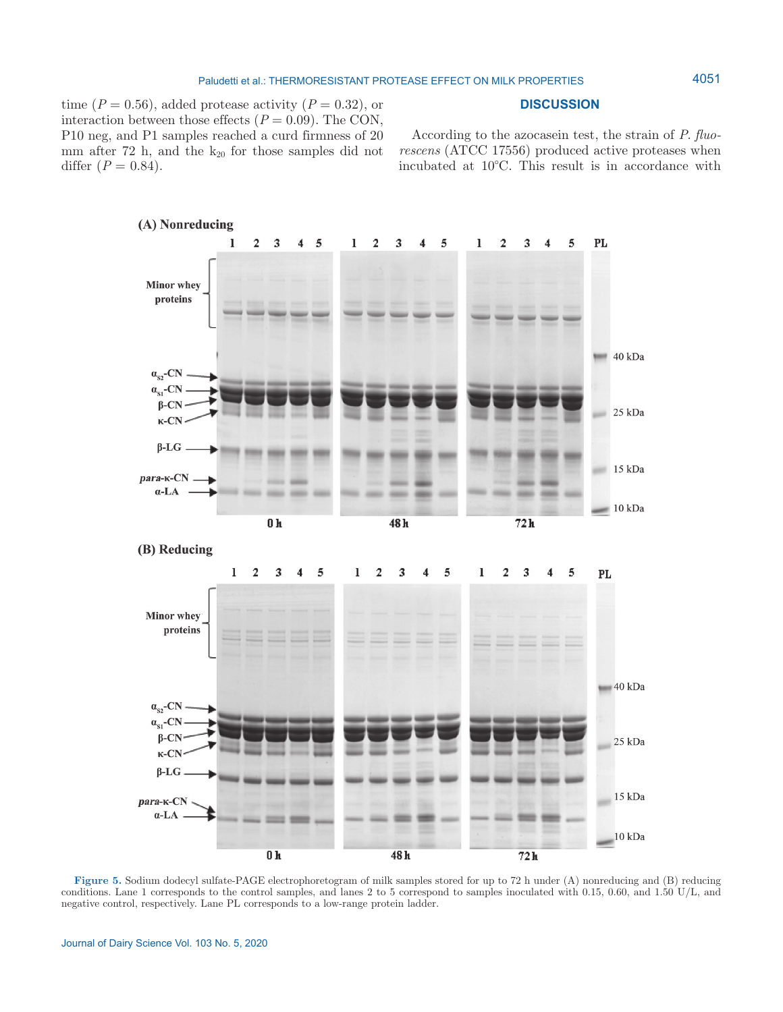### **DISCUSSION**

time  $(P = 0.56)$ , added protease activity  $(P = 0.32)$ , or interaction between those effects  $(P = 0.09)$ . The CON, P10 neg, and P1 samples reached a curd firmness of 20 mm after  $72$  h, and the  $k_{20}$  for those samples did not differ  $(P = 0.84)$ .

According to the azocasein test, the strain of *P. fluorescens* (ATCC 17556) produced active proteases when incubated at 10°C. This result is in accordance with



(B) Reducing



**Figure 5.** Sodium dodecyl sulfate-PAGE electrophoretogram of milk samples stored for up to 72 h under (A) nonreducing and (B) reducing conditions. Lane 1 corresponds to the control samples, and lanes 2 to 5 correspond to samples inoculated with 0.15, 0.60, and 1.50 U/L, and negative control, respectively. Lane PL corresponds to a low-range protein ladder.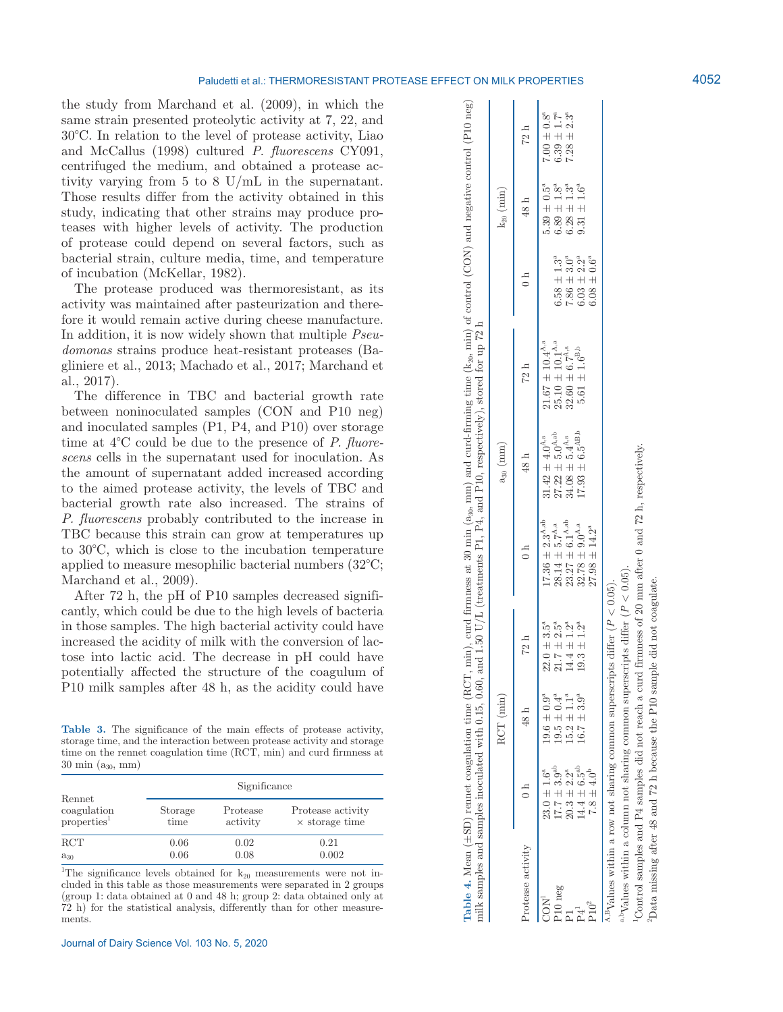the study from Marchand et al. (2009), in which the same strain presented proteolytic activity at 7, 22, and 30°C. In relation to the level of protease activity, Liao and McCallus (1998) cultured *P. fluorescens* CY091, centrifuged the medium, and obtained a protease activity varying from 5 to 8 U/mL in the supernatant. Those results differ from the activity obtained in this study, indicating that other strains may produce proteases with higher levels of activity. The production of protease could depend on several factors, such as bacterial strain, culture media, time, and temperature of incubation (McKellar, 1982).

The protease produced was thermoresistant, as its activity was maintained after pasteurization and therefore it would remain active during cheese manufacture. In addition, it is now widely shown that multiple *Pseudomonas* strains produce heat-resistant proteases (Bagliniere et al., 2013; Machado et al., 2017; Marchand et al., 2017).

The difference in TBC and bacterial growth rate between noninoculated samples (CON and P10 neg) and inoculated samples (P1, P4, and P10) over storage time at 4°C could be due to the presence of *P. fluorescens* cells in the supernatant used for inoculation. As the amount of supernatant added increased according to the aimed protease activity, the levels of TBC and bacterial growth rate also increased. The strains of *P. fluorescens* probably contributed to the increase in TBC because this strain can grow at temperatures up to 30°C, which is close to the incubation temperature applied to measure mesophilic bacterial numbers (32°C; Marchand et al., 2009).

After 72 h, the pH of P10 samples decreased significantly, which could be due to the high levels of bacteria in those samples. The high bacterial activity could have increased the acidity of milk with the conversion of lactose into lactic acid. The decrease in pH could have potentially affected the structure of the coagulum of P10 milk samples after 48 h, as the acidity could have

Table 3. The significance of the main effects of protease activity, storage time, and the interaction between protease activity and storage time on the rennet coagulation time (RCT, min) and curd firmness at  $30 \text{ min} (a_{30}, \text{mm})$ 

|                           |         | Significance |                       |
|---------------------------|---------|--------------|-----------------------|
| Rennet                    | Storage | Protease     | Protease activity     |
| $\frac{1}{2}$ coagulation | time    | activity     | $\times$ storage time |
| <b>RCT</b>                | 0.06    | 0.02         | 0.21                  |
| $a_{30}$                  | 0.06    | 0.08         | 0.002                 |

<sup>1</sup>The significance levels obtained for  $k_{20}$  measurements were not included in this table as those measurements were separated in 2 groups (group 1: data obtained at 0 and 48 h; group 2: data obtained only at 72 h) for the statistical analysis, differently than for other measurements.

|                                                                                          |                                                                                                                   |                                                                                                |                                                                                                   |                                                                                                                                 |                                                                                                                                                          | milk samples and samples inoculated with 0.15, 0.60, and 1.50 U/L (treatments P1, P4, and P10, respectively), stored for up 72 h                            |                                                                                                                                                 |                                                                                                                                                     |                                                          |
|------------------------------------------------------------------------------------------|-------------------------------------------------------------------------------------------------------------------|------------------------------------------------------------------------------------------------|---------------------------------------------------------------------------------------------------|---------------------------------------------------------------------------------------------------------------------------------|----------------------------------------------------------------------------------------------------------------------------------------------------------|-------------------------------------------------------------------------------------------------------------------------------------------------------------|-------------------------------------------------------------------------------------------------------------------------------------------------|-----------------------------------------------------------------------------------------------------------------------------------------------------|----------------------------------------------------------|
|                                                                                          |                                                                                                                   | $RCT$ (min)                                                                                    |                                                                                                   |                                                                                                                                 | $a_{30}$ (mm)                                                                                                                                            |                                                                                                                                                             |                                                                                                                                                 | $k_{20}$ (min)                                                                                                                                      |                                                          |
| Protease activity                                                                        | $\frac{1}{2}$                                                                                                     | 48 h                                                                                           | 72 h                                                                                              | $\frac{1}{1}$                                                                                                                   | 48 <sub>h</sub>                                                                                                                                          | 72 h                                                                                                                                                        | $\frac{1}{1}$                                                                                                                                   | 48 <sub>h</sub>                                                                                                                                     | 72 h                                                     |
| P <sub>10</sub> neg<br>CON <sup>1</sup>                                                  | $14.4\,\pm\,6.5^{\rm ab}$<br>$17.7 \pm 3.9^{ab}$<br>$20.3 \pm 2.2^a$<br>$7.8 \pm 4.0^b$<br>$23.0 \pm 1.6^{\circ}$ | $19.5 \pm 0.4^{\circ}$<br>$16.7 \pm 3.9^{\circ}$<br>$19.6 \pm 0.9^{\circ}$<br>$15.2 \pm 1.1^a$ | $14.4 \pm 1.2^{\circ}$<br>$22.0 \pm 3.5^{\circ}$ $21.7 \pm 2.5^{\circ}$<br>$19.3 \pm 1.2^{\circ}$ | $17.36 \pm 2.3^{A,ab}$<br>$23.27\pm6.1^{\mathrm{A,ab}}$<br>$28.14 \pm 5.7^{A,a}$<br>$32.78 \pm 9.0^{A,a}$<br>$27.98 \pm 14.2^a$ | $17.93\,\pm\,6.5^{\rm AB,b}$<br>$\begin{array}{l} 27.22\,\pm\,5.0^{\mathrm{A,ab}}\\ 34.08\,\pm\,5.4^{\mathrm{A,a}} \end{array}$<br>$31.42 \pm 4.0^{A,a}$ | $\begin{array}{c} 21.67 \pm 10.4^{\mathrm{A,a}} \\ 25.10 \pm 10.1^{\mathrm{A,a}} \\ 32.60 \pm 6.7^{\mathrm{A,a}} \end{array}$<br>$5.61\,\pm\,1.6^{\rm B,b}$ | $\begin{array}{l} 6.58 \pm 1.3^{\mathrm{a}} \\ 7.86 \pm 3.0^{\mathrm{a}} \\ 6.03 \pm 2.2^{\mathrm{a}} \\ 6.08 \pm 0.6^{\mathrm{a}} \end{array}$ | $5.39\,\pm\,0.5^{\mathrm{a}}$<br>$\begin{array}{c} 6.89 \pm 1.8^{\mathrm{a}} \\ 6.28 \pm 1.3^{\mathrm{a}} \\ 9.31 \pm 1.6^{\mathrm{a}} \end{array}$ | $7.00 \pm 0.8^3$<br>$6.39 \pm 1.7^3$<br>$7.28 \pm 2.3^3$ |
| <sup>A,B</sup> Values within a row not sharing common superscripts differ ( $P < 0.05$ ) |                                                                                                                   |                                                                                                |                                                                                                   |                                                                                                                                 |                                                                                                                                                          |                                                                                                                                                             |                                                                                                                                                 |                                                                                                                                                     |                                                          |

**Table 4.** Mean (±SD) rennet coagulation time (RCT, min), curd firmness at 30 min (a30, mm) and curd-firming time (k20, min) of control (CON) and negative control (P10 neg)

Table 4. Mean ( $\pm$ SD) rennet coagulation time (RCT, min), curd firmness at 30 min ( $a_{30}$ , mm) and curd-firming time ( $k_{20}$ , min) of control (CON) and negative control (P10 neg)

<sup>a,b</sup>Values within a column not sharing common superscripts differ ( $P < 0.05$ ). a,bValues within a column not sharing common superscripts differ (

<sup>*P*</sup> Values within a column not sharing common superscripts differ ( $P < 0.05$ ).<br><sup>P</sup>Control samples and P4 samples did not reach a curd firmness of 20 mm after 0 and 72 h, respectively. Control samples and P4 samples did not reach a curd firmness of 20 mm after 0 and 72 h,

respectively 2Data missing after 48 and 72 h because the P10 sample did not coagulate.Data missing after 48 and 72 h because the P10 sample did not coagulate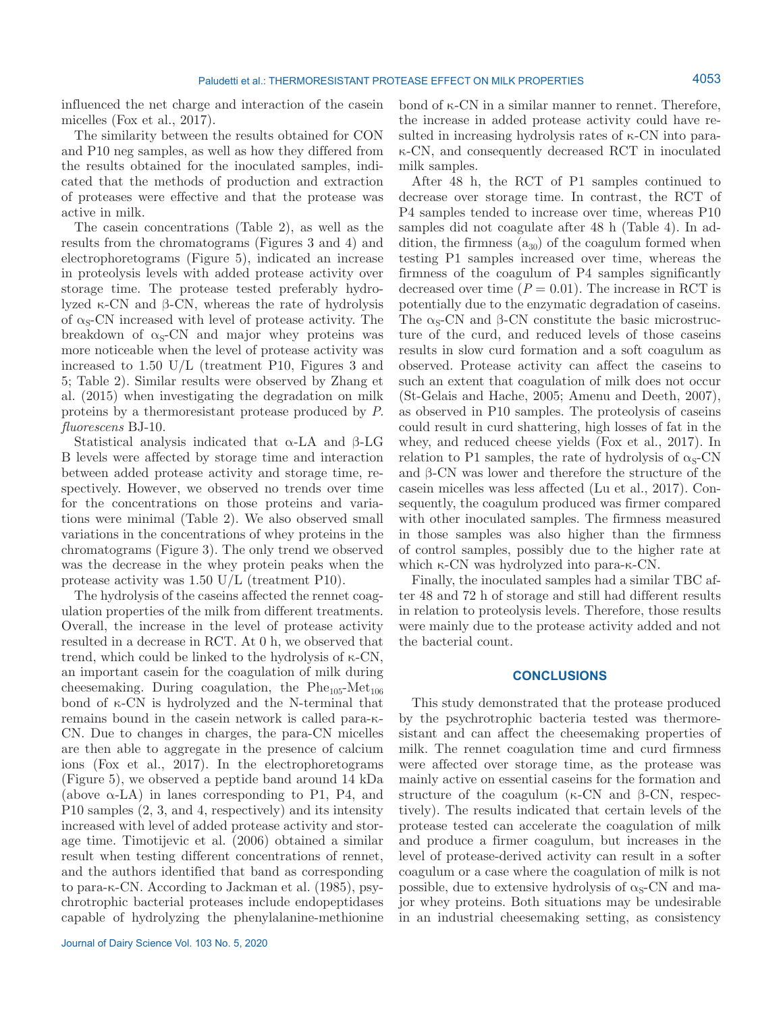influenced the net charge and interaction of the casein micelles (Fox et al., 2017).

The similarity between the results obtained for CON and P10 neg samples, as well as how they differed from the results obtained for the inoculated samples, indicated that the methods of production and extraction of proteases were effective and that the protease was active in milk.

The casein concentrations (Table 2), as well as the results from the chromatograms (Figures 3 and 4) and electrophoretograms (Figure 5), indicated an increase in proteolysis levels with added protease activity over storage time. The protease tested preferably hydrolyzed κ-CN and β-CN, whereas the rate of hydrolysis of  $\alpha_s$ -CN increased with level of protease activity. The breakdown of  $\alpha_s$ -CN and major whey proteins was more noticeable when the level of protease activity was increased to 1.50 U/L (treatment P10, Figures 3 and 5; Table 2). Similar results were observed by Zhang et al. (2015) when investigating the degradation on milk proteins by a thermoresistant protease produced by *P. fluorescens* BJ-10.

Statistical analysis indicated that α-LA and β-LG B levels were affected by storage time and interaction between added protease activity and storage time, respectively. However, we observed no trends over time for the concentrations on those proteins and variations were minimal (Table 2). We also observed small variations in the concentrations of whey proteins in the chromatograms (Figure 3). The only trend we observed was the decrease in the whey protein peaks when the protease activity was 1.50 U/L (treatment P10).

The hydrolysis of the caseins affected the rennet coagulation properties of the milk from different treatments. Overall, the increase in the level of protease activity resulted in a decrease in RCT. At 0 h, we observed that trend, which could be linked to the hydrolysis of κ-CN, an important casein for the coagulation of milk during cheesemaking. During coagulation, the  $Phe_{105}$ -Met<sub>106</sub> bond of κ-CN is hydrolyzed and the N-terminal that remains bound in the casein network is called para-κ-CN. Due to changes in charges, the para-CN micelles are then able to aggregate in the presence of calcium ions (Fox et al., 2017). In the electrophoretograms (Figure 5), we observed a peptide band around 14 kDa (above  $\alpha$ -LA) in lanes corresponding to P1, P4, and P10 samples (2, 3, and 4, respectively) and its intensity increased with level of added protease activity and storage time. Timotijevic et al. (2006) obtained a similar result when testing different concentrations of rennet, and the authors identified that band as corresponding to para-κ-CN. According to Jackman et al. (1985), psychrotrophic bacterial proteases include endopeptidases capable of hydrolyzing the phenylalanine-methionine

bond of κ-CN in a similar manner to rennet. Therefore, the increase in added protease activity could have resulted in increasing hydrolysis rates of κ-CN into paraκ-CN, and consequently decreased RCT in inoculated milk samples.

After 48 h, the RCT of P1 samples continued to decrease over storage time. In contrast, the RCT of P4 samples tended to increase over time, whereas P10 samples did not coagulate after 48 h (Table 4). In addition, the firmness  $(a_{30})$  of the coagulum formed when testing P1 samples increased over time, whereas the firmness of the coagulum of P4 samples significantly decreased over time  $(P = 0.01)$ . The increase in RCT is potentially due to the enzymatic degradation of caseins. The  $\alpha_{\rm s}$ -CN and β-CN constitute the basic microstructure of the curd, and reduced levels of those caseins results in slow curd formation and a soft coagulum as observed. Protease activity can affect the caseins to such an extent that coagulation of milk does not occur (St-Gelais and Hache, 2005; Amenu and Deeth, 2007), as observed in P10 samples. The proteolysis of caseins could result in curd shattering, high losses of fat in the whey, and reduced cheese yields (Fox et al., 2017). In relation to P1 samples, the rate of hydrolysis of  $\alpha_s$ -CN and β-CN was lower and therefore the structure of the casein micelles was less affected (Lu et al., 2017). Consequently, the coagulum produced was firmer compared with other inoculated samples. The firmness measured in those samples was also higher than the firmness of control samples, possibly due to the higher rate at which κ-CN was hydrolyzed into para-κ-CN.

Finally, the inoculated samples had a similar TBC after 48 and 72 h of storage and still had different results in relation to proteolysis levels. Therefore, those results were mainly due to the protease activity added and not the bacterial count.

# **CONCLUSIONS**

This study demonstrated that the protease produced by the psychrotrophic bacteria tested was thermoresistant and can affect the cheesemaking properties of milk. The rennet coagulation time and curd firmness were affected over storage time, as the protease was mainly active on essential caseins for the formation and structure of the coagulum (κ-CN and β-CN, respectively). The results indicated that certain levels of the protease tested can accelerate the coagulation of milk and produce a firmer coagulum, but increases in the level of protease-derived activity can result in a softer coagulum or a case where the coagulation of milk is not possible, due to extensive hydrolysis of  $\alpha_s$ -CN and major whey proteins. Both situations may be undesirable in an industrial cheesemaking setting, as consistency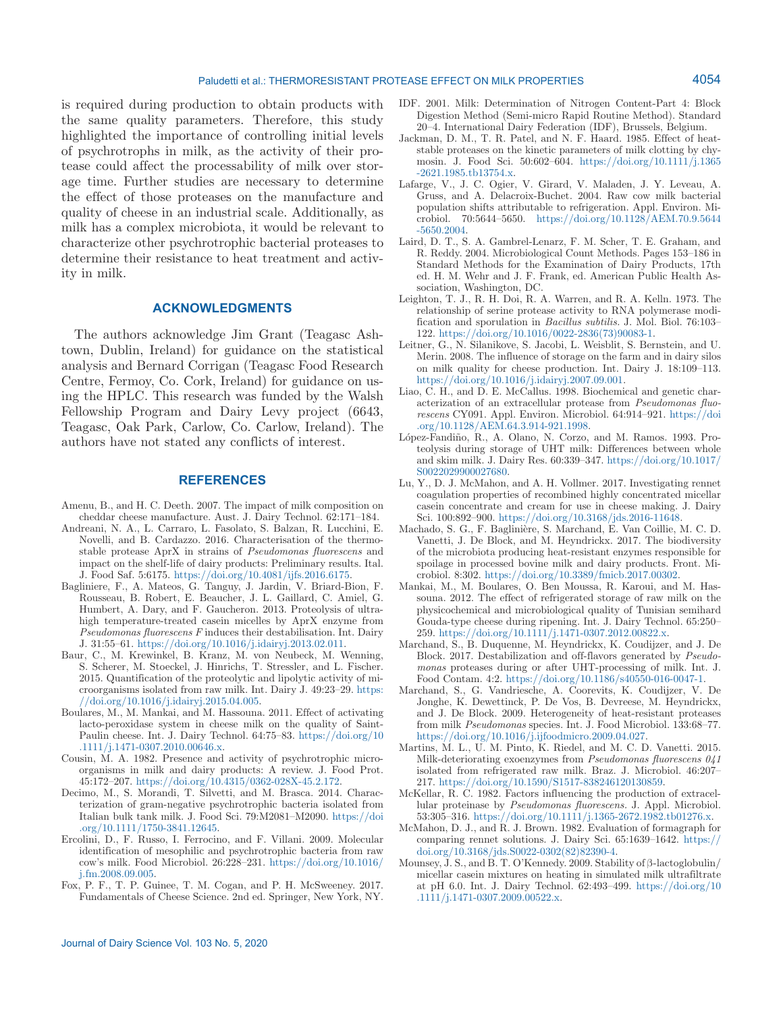is required during production to obtain products with the same quality parameters. Therefore, this study highlighted the importance of controlling initial levels of psychrotrophs in milk, as the activity of their protease could affect the processability of milk over storage time. Further studies are necessary to determine the effect of those proteases on the manufacture and quality of cheese in an industrial scale. Additionally, as milk has a complex microbiota, it would be relevant to characterize other psychrotrophic bacterial proteases to determine their resistance to heat treatment and activity in milk.

# **ACKNOWLEDGMENTS**

The authors acknowledge Jim Grant (Teagasc Ashtown, Dublin, Ireland) for guidance on the statistical analysis and Bernard Corrigan (Teagasc Food Research Centre, Fermoy, Co. Cork, Ireland) for guidance on using the HPLC. This research was funded by the Walsh Fellowship Program and Dairy Levy project (6643, Teagasc, Oak Park, Carlow, Co. Carlow, Ireland). The authors have not stated any conflicts of interest.

# **REFERENCES**

- Amenu, B., and H. C. Deeth. 2007. The impact of milk composition on cheddar cheese manufacture. Aust. J. Dairy Technol. 62:171-184.
- Andreani, N. A., L. Carraro, L. Fasolato, S. Balzan, R. Lucchini, E. Novelli, and B. Cardazzo. 2016. Characterisation of the thermostable protease AprX in strains of *Pseudomonas fluorescens* and impact on the shelf-life of dairy products: Preliminary results. Ital. J. Food Saf. 5:6175.<https://doi.org/10.4081/ijfs.2016.6175>.
- Bagliniere, F., A. Mateos, G. Tanguy, J. Jardin, V. Briard-Bion, F. Rousseau, B. Robert, E. Beaucher, J. L. Gaillard, C. Amiel, G. Humbert, A. Dary, and F. Gaucheron. 2013. Proteolysis of ultrahigh temperature-treated casein micelles by AprX enzyme from *Pseudomonas fluorescens F* induces their destabilisation. Int. Dairy J. 31:55–61. [https://doi.org/10.1016/j.idairyj.2013.02.011.](https://doi.org/10.1016/j.idairyj.2013.02.011)
- Baur, C., M. Krewinkel, B. Kranz, M. von Neubeck, M. Wenning, S. Scherer, M. Stoeckel, J. Hinrichs, T. Stressler, and L. Fischer. 2015. Quantification of the proteolytic and lipolytic activity of microorganisms isolated from raw milk. Int. Dairy J. 49:23–29. [https:](https://doi.org/10.1016/j.idairyj.2015.04.005) [//doi.org/10.1016/j.idairyj.2015.04.005](https://doi.org/10.1016/j.idairyj.2015.04.005).
- Boulares, M., M. Mankai, and M. Hassouna. 2011. Effect of activating lacto-peroxidase system in cheese milk on the quality of Saint-Paulin cheese. Int. J. Dairy Technol. 64:75–83. [https://doi.org/10](https://doi.org/10.1111/j.1471-0307.2010.00646.x) [.1111/j.1471-0307.2010.00646.x.](https://doi.org/10.1111/j.1471-0307.2010.00646.x)
- Cousin, M. A. 1982. Presence and activity of psychrotrophic microorganisms in milk and dairy products: A review. J. Food Prot. 45:172–207. [https://doi.org/10.4315/0362-028X-45.2.172.](https://doi.org/10.4315/0362-028X-45.2.172)
- Decimo, M., S. Morandi, T. Silvetti, and M. Brasca. 2014. Characterization of gram-negative psychrotrophic bacteria isolated from Italian bulk tank milk. J. Food Sci. 79:M2081–M2090. [https://doi](https://doi.org/10.1111/1750-3841.12645) [.org/10.1111/1750-3841.12645.](https://doi.org/10.1111/1750-3841.12645)
- Ercolini, D., F. Russo, I. Ferrocino, and F. Villani. 2009. Molecular identification of mesophilic and psychrotrophic bacteria from raw cow's milk. Food Microbiol. 26:228–231. [https://doi.org/10.1016/](https://doi.org/10.1016/j.fm.2008.09.005) [j.fm.2008.09.005](https://doi.org/10.1016/j.fm.2008.09.005).
- Fox, P. F., T. P. Guinee, T. M. Cogan, and P. H. McSweeney. 2017. Fundamentals of Cheese Science. 2nd ed. Springer, New York, NY.
- IDF. 2001. Milk: Determination of Nitrogen Content-Part 4: Block Digestion Method (Semi-micro Rapid Routine Method). Standard 20–4. International Dairy Federation (IDF), Brussels, Belgium.
- Jackman, D. M., T. R. Patel, and N. F. Haard. 1985. Effect of heatstable proteases on the kinetic parameters of milk clotting by chymosin. J. Food Sci. 50:602–604. [https://doi.org/10.1111/j.1365](https://doi.org/10.1111/j.1365-2621.1985.tb13754.x) [-2621.1985.tb13754.x](https://doi.org/10.1111/j.1365-2621.1985.tb13754.x).
- Lafarge, V., J. C. Ogier, V. Girard, V. Maladen, J. Y. Leveau, A. Gruss, and A. Delacroix-Buchet. 2004. Raw cow milk bacterial population shifts attributable to refrigeration. Appl. Environ. Microbiol. 70:5644–5650. [https://doi.org/10.1128/AEM.70.9.5644](https://doi.org/10.1128/AEM.70.9.5644-5650.2004) [-5650.2004](https://doi.org/10.1128/AEM.70.9.5644-5650.2004).
- Laird, D. T., S. A. Gambrel-Lenarz, F. M. Scher, T. E. Graham, and R. Reddy. 2004. Microbiological Count Methods. Pages 153–186 in Standard Methods for the Examination of Dairy Products, 17th ed. H. M. Wehr and J. F. Frank, ed. American Public Health Association, Washington, DC.
- Leighton, T. J., R. H. Doi, R. A. Warren, and R. A. Kelln. 1973. The relationship of serine protease activity to RNA polymerase modification and sporulation in *Bacillus subtilis.* J. Mol. Biol. 76:103– 122. [https://doi.org/10.1016/0022-2836\(73\)90083-1.](https://doi.org/10.1016/0022-2836(73)90083-1)
- Leitner, G., N. Silanikove, S. Jacobi, L. Weisblit, S. Bernstein, and U. Merin. 2008. The influence of storage on the farm and in dairy silos on milk quality for cheese production. Int. Dairy J. 18:109–113. <https://doi.org/10.1016/j.idairyj.2007.09.001>.
- Liao, C. H., and D. E. McCallus. 1998. Biochemical and genetic characterization of an extracellular protease from *Pseudomonas fluorescens* CY091. Appl. Environ. Microbiol. 64:914–921. [https://doi](https://doi.org/10.1128/AEM.64.3.914-921.1998) [.org/10.1128/AEM.64.3.914-921.1998.](https://doi.org/10.1128/AEM.64.3.914-921.1998)
- López-Fandiño, R., A. Olano, N. Corzo, and M. Ramos. 1993. Proteolysis during storage of UHT milk: Differences between whole and skim milk. J. Dairy Res. 60:339–347. [https://doi.org/10.1017/](https://doi.org/10.1017/S0022029900027680) [S0022029900027680.](https://doi.org/10.1017/S0022029900027680)
- Lu, Y., D. J. McMahon, and A. H. Vollmer. 2017. Investigating rennet coagulation properties of recombined highly concentrated micellar casein concentrate and cream for use in cheese making. J. Dairy Sci. 100:892–900. [https://doi.org/10.3168/jds.2016-11648.](https://doi.org/10.3168/jds.2016-11648)
- Machado, S. G., F. Baglinière, S. Marchand, E. Van Coillie, M. C. D. Vanetti, J. De Block, and M. Heyndrickx. 2017. The biodiversity of the microbiota producing heat-resistant enzymes responsible for spoilage in processed bovine milk and dairy products. Front. Microbiol. 8:302. [https://doi.org/10.3389/fmicb.2017.00302.](https://doi.org/10.3389/fmicb.2017.00302)
- Mankai, M., M. Boulares, O. Ben Moussa, R. Karoui, and M. Hassouna. 2012. The effect of refrigerated storage of raw milk on the physicochemical and microbiological quality of Tunisian semihard Gouda-type cheese during ripening. Int. J. Dairy Technol. 65:250– 259.<https://doi.org/10.1111/j.1471-0307.2012.00822.x>.
- Marchand, S., B. Duquenne, M. Heyndrickx, K. Coudijzer, and J. De Block. 2017. Destabilization and off-flavors generated by *Pseudomonas* proteases during or after UHT-processing of milk. Int. J. Food Contam. 4:2. <https://doi.org/10.1186/s40550-016-0047-1>.
- Marchand, S., G. Vandriesche, A. Coorevits, K. Coudijzer, V. De Jonghe, K. Dewettinck, P. De Vos, B. Devreese, M. Heyndrickx, and J. De Block. 2009. Heterogeneity of heat-resistant proteases from milk *Pseudomonas* species. Int. J. Food Microbiol. 133:68–77. [https://doi.org/10.1016/j.ijfoodmicro.2009.04.027.](https://doi.org/10.1016/j.ijfoodmicro.2009.04.027)
- Martins, M. L., U. M. Pinto, K. Riedel, and M. C. D. Vanetti. 2015. Milk-deteriorating exoenzymes from *Pseudomonas fluorescens 041* isolated from refrigerated raw milk. Braz. J. Microbiol. 46:207– 217.<https://doi.org/10.1590/S1517-838246120130859>.
- McKellar, R. C. 1982. Factors influencing the production of extracellular proteinase by *Pseudomonas fluorescens.* J. Appl. Microbiol. 53:305–316.<https://doi.org/10.1111/j.1365-2672.1982.tb01276.x>.
- McMahon, D. J., and R. J. Brown. 1982. Evaluation of formagraph for comparing rennet solutions. J. Dairy Sci. 65:1639–1642. [https://](https://doi.org/10.3168/jds.S0022-0302(82)82390-4) [doi.org/10.3168/jds.S0022-0302\(82\)82390-4](https://doi.org/10.3168/jds.S0022-0302(82)82390-4).
- Mounsey, J. S., and B. T. O'Kennedy. 2009. Stability of β-lactoglobulin/ micellar casein mixtures on heating in simulated milk ultrafiltrate at pH 6.0. Int. J. Dairy Technol. 62:493–499. [https://doi.org/10](https://doi.org/10.1111/j.1471-0307.2009.00522.x) [.1111/j.1471-0307.2009.00522.x.](https://doi.org/10.1111/j.1471-0307.2009.00522.x)